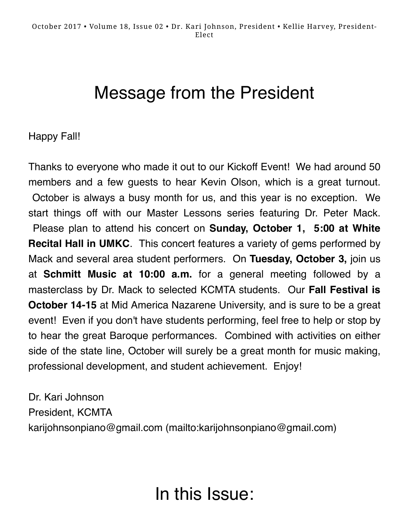## Message from the President

#### Happy Fall!

Thanks to everyone who made it out to our Kickoff Event! We had around 50 members and a few guests to hear Kevin Olson, which is a great turnout. October is always a busy month for us, and this year is no exception. We start things off with our Master Lessons series featuring Dr. Peter Mack. Please plan to attend his concert on **Sunday, October 1, 5:00 at White Recital Hall in UMKC**. This concert features a variety of gems performed by Mack and several area student performers. On **Tuesday, October 3,** join us at **Schmitt Music at 10:00 a.m.** for a general meeting followed by a masterclass by Dr. Mack to selected KCMTA students. Our **Fall Festival is October 14-15** at Mid America Nazarene University, and is sure to be a great event! Even if you don't have students performing, feel free to help or stop by to hear the great Baroque performances. Combined with activities on either side of the state line, October will surely be a great month for music making, professional development, and student achievement. Enjoy!

Dr. Kari Johnson President, KCMTA [karijohnsonpiano@gmail.com \(mailto:karijohnsonpiano@gmail.com\)](mailto:karijohnsonpiano@gmail.com)

## In this Issue: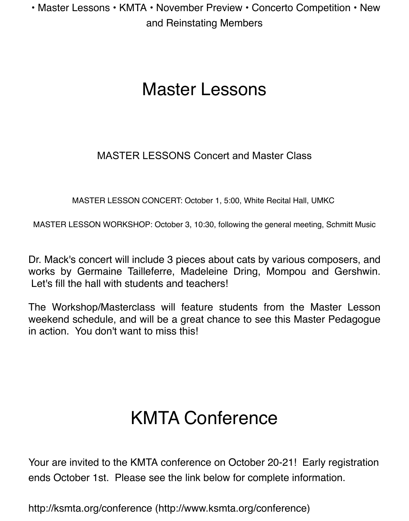• Master Lessons • KMTA • November Preview • Concerto Competition • New and Reinstating Members

### Master Lessons

#### MASTER LESSONS Concert and Master Class

MASTER LESSON CONCERT: October 1, 5:00, White Recital Hall, UMKC

MASTER LESSON WORKSHOP: October 3, 10:30, following the general meeting, Schmitt Music

Dr. Mack's concert will include 3 pieces about cats by various composers, and works by Germaine Tailleferre, Madeleine Dring, Mompou and Gershwin. Let's fill the hall with students and teachers!

The Workshop/Masterclass will feature students from the Master Lesson weekend schedule, and will be a great chance to see this Master Pedagogue in action. You don't want to miss this!

# KMTA Conference

Your are invited to the KMTA conference on October 20-21! Early registration ends October 1st. Please see the link below for complete information.

[http://ksmta.org/conference \(http://www.ksmta.org/conference\)](http://www.ksmta.org/conference)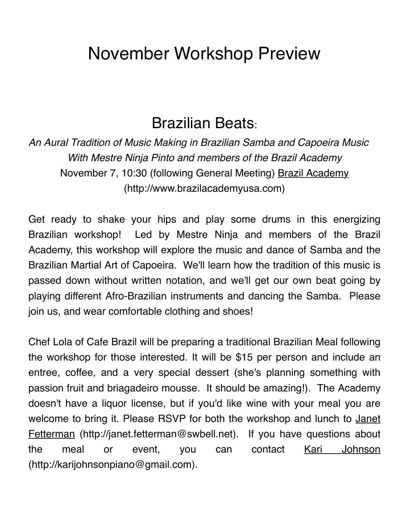## November Workshop Preview

#### Brazilian Beats:

*An Aural Tradition of Music Making in Brazilian Samba and Capoeira Music With Mestre Ninja Pinto and members of the Brazil Academy* November 7, [10:30 \(following General Meeting\) Brazil Academy](http://www.brazilacademyusa.com/) (http://www.brazilacademyusa.com)

Get ready to shake your hips and play some drums in this energizing Brazilian workshop! Led by Mestre Ninja and members of the Brazil Academy, this workshop will explore the music and dance of Samba and the Brazilian Martial Art of Capoeira. We'll learn how the tradition of this music is passed down without written notation, and we'll get our own beat going by playing different Afro-Brazilian instruments and dancing the Samba. Please join us, and wear comfortable clothing and shoes!

Chef Lola of Cafe Brazil will be preparing a traditional Brazilian Meal following the workshop for those interested. It will be \$15 per person and include an entree, coffee, and a very special dessert (she's planning something with passion fruit and briagadeiro mousse. It should be amazing!). The Academy doesn't have a liquor license, but if you'd like wine with your meal you are [welcome to bring it. Please RSVP for both the workshop and lunch to Janet](http://janet.fetterman@swbell.net/) Fetterman (http://janet.fetterman@swbell.net). If you have questions about the meal or event, you can contact <u>Kari Johnson</u> (http://karijohnsonpiano@gmail.com).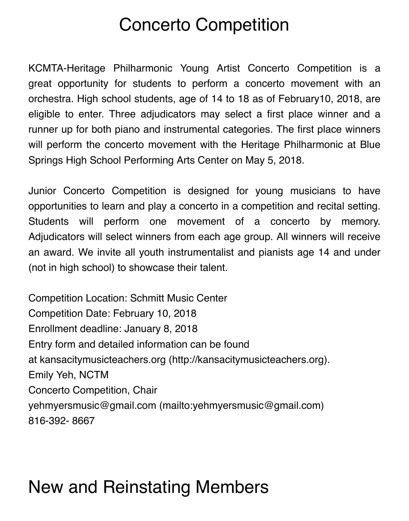## Concerto Competition

KCMTA-Heritage Philharmonic Young Artist Concerto Competition is a great opportunity for students to perform a concerto movement with an orchestra. High school students, age of 14 to 18 as of February10, 2018, are eligible to enter. Three adjudicators may select a first place winner and a runner up for both piano and instrumental categories. The first place winners will perform the concerto movement with the Heritage Philharmonic at Blue Springs High School Performing Arts Center on May 5, 2018.

Junior Concerto Competition is designed for young musicians to have opportunities to learn and play a concerto in a competition and recital setting. Students will perform one movement of a concerto by memory. Adjudicators will select winners from each age group. All winners will receive an award. We invite all youth instrumentalist and pianists age 14 and under (not in high school) to showcase their talent.

Competition Location: Schmitt Music Center Competition Date: February 10, 2018 Enrollment deadline: January 8, 2018 Entry form and detailed information can be found at [kansacitymusicteachers.org \(http://kansacitymusicteachers.org\)](http://kansacitymusicteachers.org/). Emily Yeh, NCTM Concerto Competition, Chair [yehmyersmusic@gmail.com \(mailto:yehmyersmusic@gmail.com\)](mailto:yehmyersmusic@gmail.com) 816-392- 8667

## New and Reinstating Members